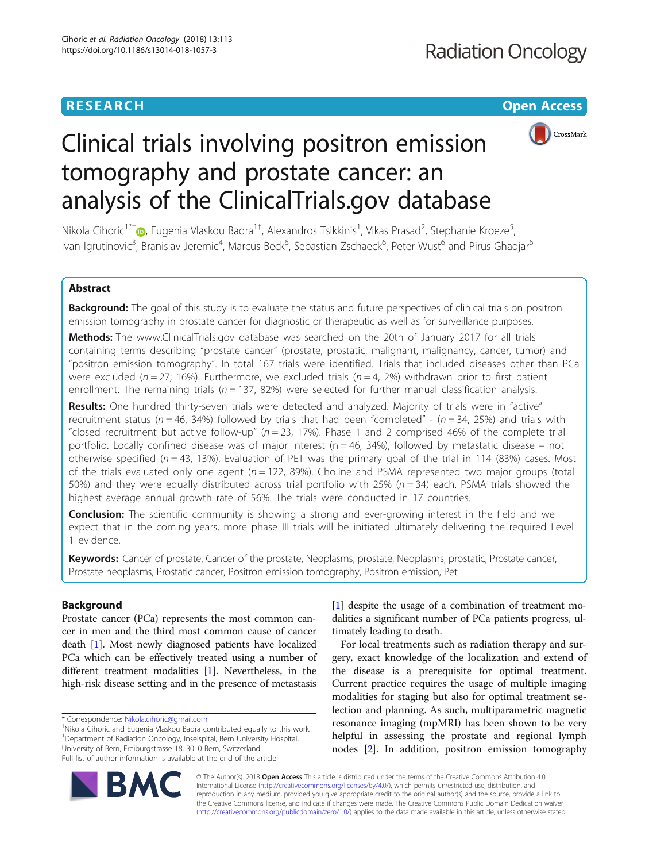# **RESEARCH CHEAR CHEAR CHEAR CHEAR CHEAR CHEAR CHEAR CHEAR CHEAR CHEAR CHEAR CHEAR CHEAR CHEAR CHEAR CHEAR CHEAR**



# Clinical trials involving positron emission tomography and prostate cancer: an analysis of the ClinicalTrials.gov database

Nikola Cihoric<sup>1\*†</sup>®[,](http://orcid.org/0000-0003-1534-8520) Eugenia Vlaskou Badra<sup>1†</sup>, Alexandros Tsikkinis<sup>1</sup>, Vikas Prasad<sup>2</sup>, Stephanie Kroeze<sup>5</sup> , Ivan Igrutinovic<sup>3</sup>, Branislav Jeremic<sup>4</sup>, Marcus Beck<sup>6</sup>, Sebastian Zschaeck<sup>6</sup>, Peter Wust<sup>6</sup> and Pirus Ghadjar<sup>6</sup>

# Abstract

Background: The goal of this study is to evaluate the status and future perspectives of clinical trials on positron emission tomography in prostate cancer for diagnostic or therapeutic as well as for surveillance purposes.

Methods: The www.ClinicalTrials.gov database was searched on the 20th of January 2017 for all trials containing terms describing "prostate cancer" (prostate, prostatic, malignant, malignancy, cancer, tumor) and "positron emission tomography". In total 167 trials were identified. Trials that included diseases other than PCa were excluded ( $n = 27$ ; 16%). Furthermore, we excluded trials ( $n = 4$ , 2%) withdrawn prior to first patient enrollment. The remaining trials ( $n = 137$ , 82%) were selected for further manual classification analysis.

Results: One hundred thirty-seven trials were detected and analyzed. Majority of trials were in "active" recruitment status ( $n = 46$ , 34%) followed by trials that had been "completed" - ( $n = 34$ , 25%) and trials with "closed recruitment but active follow-up" ( $n = 23$ , 17%). Phase 1 and 2 comprised 46% of the complete trial portfolio. Locally confined disease was of major interest ( $n = 46$ , 34%), followed by metastatic disease – not otherwise specified ( $n = 43$ , 13%). Evaluation of PET was the primary goal of the trial in 114 (83%) cases. Most of the trials evaluated only one agent ( $n = 122$ , 89%). Choline and PSMA represented two major groups (total 50%) and they were equally distributed across trial portfolio with 25% ( $n = 34$ ) each. PSMA trials showed the highest average annual growth rate of 56%. The trials were conducted in 17 countries.

**Conclusion:** The scientific community is showing a strong and ever-growing interest in the field and we expect that in the coming years, more phase III trials will be initiated ultimately delivering the required Level 1 evidence.

Keywords: Cancer of prostate, Cancer of the prostate, Neoplasms, prostate, Neoplasms, prostatic, Prostate cancer, Prostate neoplasms, Prostatic cancer, Positron emission tomography, Positron emission, Pet

# Background

Prostate cancer (PCa) represents the most common cancer in men and the third most common cause of cancer death [\[1\]](#page-7-0). Most newly diagnosed patients have localized PCa which can be effectively treated using a number of different treatment modalities [\[1](#page-7-0)]. Nevertheless, in the high-risk disease setting and in the presence of metastasis [[1\]](#page-7-0) despite the usage of a combination of treatment modalities a significant number of PCa patients progress, ultimately leading to death.

For local treatments such as radiation therapy and surgery, exact knowledge of the localization and extend of the disease is a prerequisite for optimal treatment. Current practice requires the usage of multiple imaging modalities for staging but also for optimal treatment selection and planning. As such, multiparametric magnetic resonance imaging (mpMRI) has been shown to be very helpful in assessing the prostate and regional lymph nodes [\[2](#page-7-0)]. In addition, positron emission tomography



© The Author(s). 2018 Open Access This article is distributed under the terms of the Creative Commons Attribution 4.0 International License [\(http://creativecommons.org/licenses/by/4.0/](http://creativecommons.org/licenses/by/4.0/)), which permits unrestricted use, distribution, and reproduction in any medium, provided you give appropriate credit to the original author(s) and the source, provide a link to the Creative Commons license, and indicate if changes were made. The Creative Commons Public Domain Dedication waiver [\(http://creativecommons.org/publicdomain/zero/1.0/](http://creativecommons.org/publicdomain/zero/1.0/)) applies to the data made available in this article, unless otherwise stated.

<sup>\*</sup> Correspondence: [Nikola.cihoric@gmail.com](mailto:Nikola.cihoric@gmail.com) †

<sup>&</sup>lt;sup>+</sup>Nikola Cihoric and Eugenia Vlaskou Badra contributed equally to this work. <sup>1</sup>Department of Radiation Oncology, Inselspital, Bern University Hospital, University of Bern, Freiburgstrasse 18, 3010 Bern, Switzerland Full list of author information is available at the end of the article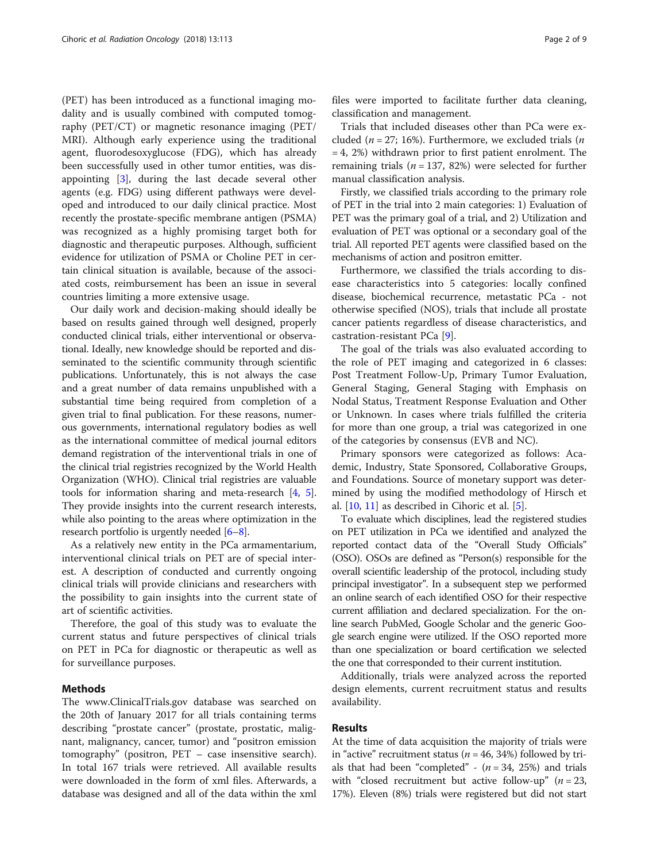(PET) has been introduced as a functional imaging modality and is usually combined with computed tomography (PET/CT) or magnetic resonance imaging (PET/ MRI). Although early experience using the traditional agent, fluorodesoxyglucose (FDG), which has already been successfully used in other tumor entities, was disappointing [\[3](#page-7-0)], during the last decade several other agents (e.g. FDG) using different pathways were developed and introduced to our daily clinical practice. Most recently the prostate-specific membrane antigen (PSMA) was recognized as a highly promising target both for diagnostic and therapeutic purposes. Although, sufficient evidence for utilization of PSMA or Choline PET in certain clinical situation is available, because of the associated costs, reimbursement has been an issue in several countries limiting a more extensive usage.

Our daily work and decision-making should ideally be based on results gained through well designed, properly conducted clinical trials, either interventional or observational. Ideally, new knowledge should be reported and disseminated to the scientific community through scientific publications. Unfortunately, this is not always the case and a great number of data remains unpublished with a substantial time being required from completion of a given trial to final publication. For these reasons, numerous governments, international regulatory bodies as well as the international committee of medical journal editors demand registration of the interventional trials in one of the clinical trial registries recognized by the World Health Organization (WHO). Clinical trial registries are valuable tools for information sharing and meta-research [[4](#page-7-0), [5](#page-7-0)]. They provide insights into the current research interests, while also pointing to the areas where optimization in the research portfolio is urgently needed [\[6](#page-7-0)–[8\]](#page-7-0).

As a relatively new entity in the PCa armamentarium, interventional clinical trials on PET are of special interest. A description of conducted and currently ongoing clinical trials will provide clinicians and researchers with the possibility to gain insights into the current state of art of scientific activities.

Therefore, the goal of this study was to evaluate the current status and future perspectives of clinical trials on PET in PCa for diagnostic or therapeutic as well as for surveillance purposes.

# Methods

The www.ClinicalTrials.gov database was searched on the 20th of January 2017 for all trials containing terms describing "prostate cancer" (prostate, prostatic, malignant, malignancy, cancer, tumor) and "positron emission tomography" (positron, PET – case insensitive search). In total 167 trials were retrieved. All available results were downloaded in the form of xml files. Afterwards, a database was designed and all of the data within the xml files were imported to facilitate further data cleaning, classification and management.

Trials that included diseases other than PCa were excluded ( $n = 27$ ; 16%). Furthermore, we excluded trials ( $n$ = 4, 2%) withdrawn prior to first patient enrolment. The remaining trials ( $n = 137, 82\%)$  were selected for further manual classification analysis.

Firstly, we classified trials according to the primary role of PET in the trial into 2 main categories: 1) Evaluation of PET was the primary goal of a trial, and 2) Utilization and evaluation of PET was optional or a secondary goal of the trial. All reported PET agents were classified based on the mechanisms of action and positron emitter.

Furthermore, we classified the trials according to disease characteristics into 5 categories: locally confined disease, biochemical recurrence, metastatic PCa - not otherwise specified (NOS), trials that include all prostate cancer patients regardless of disease characteristics, and castration-resistant PCa [[9](#page-7-0)].

The goal of the trials was also evaluated according to the role of PET imaging and categorized in 6 classes: Post Treatment Follow-Up, Primary Tumor Evaluation, General Staging, General Staging with Emphasis on Nodal Status, Treatment Response Evaluation and Other or Unknown. In cases where trials fulfilled the criteria for more than one group, a trial was categorized in one of the categories by consensus (EVB and NC).

Primary sponsors were categorized as follows: Academic, Industry, State Sponsored, Collaborative Groups, and Foundations. Source of monetary support was determined by using the modified methodology of Hirsch et al.  $[10, 11]$  $[10, 11]$  $[10, 11]$  $[10, 11]$  as described in Cihoric et al.  $[5]$  $[5]$  $[5]$ .

To evaluate which disciplines, lead the registered studies on PET utilization in PCa we identified and analyzed the reported contact data of the "Overall Study Officials" (OSO). OSOs are defined as "Person(s) responsible for the overall scientific leadership of the protocol, including study principal investigator". In a subsequent step we performed an online search of each identified OSO for their respective current affiliation and declared specialization. For the online search PubMed, Google Scholar and the generic Google search engine were utilized. If the OSO reported more than one specialization or board certification we selected the one that corresponded to their current institution.

Additionally, trials were analyzed across the reported design elements, current recruitment status and results availability.

## Results

At the time of data acquisition the majority of trials were in "active" recruitment status ( $n = 46, 34\%$ ) followed by trials that had been "completed" -  $(n = 34, 25%)$  and trials with "closed recruitment but active follow-up" ( $n = 23$ , 17%). Eleven (8%) trials were registered but did not start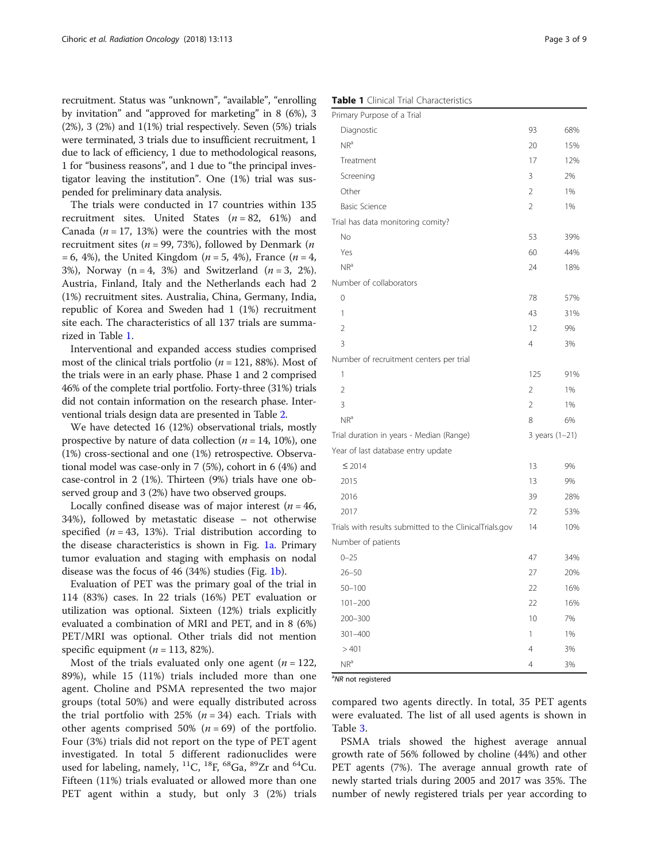recruitment. Status was "unknown", "available", "enrolling by invitation" and "approved for marketing" in 8 (6%), 3  $(2\%)$ , 3  $(2\%)$  and  $1(1\%)$  trial respectively. Seven  $(5\%)$  trials were terminated, 3 trials due to insufficient recruitment, 1 due to lack of efficiency, 1 due to methodological reasons, 1 for "business reasons", and 1 due to "the principal investigator leaving the institution". One (1%) trial was suspended for preliminary data analysis.

The trials were conducted in 17 countries within 135 recruitment sites. United States  $(n = 82, 61%)$  and Canada ( $n = 17$ , 13%) were the countries with the most recruitment sites ( $n = 99, 73\%$ ), followed by Denmark ( $n$  $= 6, 4\%)$ , the United Kingdom (*n* = 5, 4%), France (*n* = 4, 3%), Norway (n = 4, 3%) and Switzerland ( $n = 3, 2\%$ ). Austria, Finland, Italy and the Netherlands each had 2 (1%) recruitment sites. Australia, China, Germany, India, republic of Korea and Sweden had 1 (1%) recruitment site each. The characteristics of all 137 trials are summarized in Table 1.

Interventional and expanded access studies comprised most of the clinical trials portfolio ( $n = 121, 88\%$ ). Most of the trials were in an early phase. Phase 1 and 2 comprised 46% of the complete trial portfolio. Forty-three (31%) trials did not contain information on the research phase. Interventional trials design data are presented in Table [2.](#page-3-0)

We have detected 16 (12%) observational trials, mostly prospective by nature of data collection ( $n = 14$ , 10%), one (1%) cross-sectional and one (1%) retrospective. Observational model was case-only in 7 (5%), cohort in 6 (4%) and case-control in 2 (1%). Thirteen (9%) trials have one observed group and 3 (2%) have two observed groups.

Locally confined disease was of major interest ( $n = 46$ , 34%), followed by metastatic disease – not otherwise specified ( $n = 43$ , 13%). Trial distribution according to the disease characteristics is shown in Fig. [1a.](#page-4-0) Primary tumor evaluation and staging with emphasis on nodal disease was the focus of 46 (34%) studies (Fig. [1b](#page-4-0)).

Evaluation of PET was the primary goal of the trial in 114 (83%) cases. In 22 trials (16%) PET evaluation or utilization was optional. Sixteen (12%) trials explicitly evaluated a combination of MRI and PET, and in 8 (6%) PET/MRI was optional. Other trials did not mention specific equipment ( $n = 113, 82\%$ ).

Most of the trials evaluated only one agent ( $n = 122$ , 89%), while 15 (11%) trials included more than one agent. Choline and PSMA represented the two major groups (total 50%) and were equally distributed across the trial portfolio with 25%  $(n = 34)$  each. Trials with other agents comprised 50% ( $n = 69$ ) of the portfolio. Four (3%) trials did not report on the type of PET agent investigated. In total 5 different radionuclides were used for labeling, namely,  ${}^{11}C$ ,  ${}^{18}F$ ,  ${}^{68}Ga$ ,  ${}^{89}Zr$  and  ${}^{64}Cu$ . Fifteen (11%) trials evaluated or allowed more than one PET agent within a study, but only 3 (2%) trials

| Primary Purpose of a Trial                              |                |     |
|---------------------------------------------------------|----------------|-----|
| Diagnostic                                              | 93             | 68% |
| NR <sup>a</sup>                                         | 20             | 15% |
| Treatment                                               | 17             | 12% |
| Screening                                               | 3              | 2%  |
| Other                                                   | 2              | 1%  |
| <b>Basic Science</b>                                    | $\overline{2}$ | 1%  |
| Trial has data monitoring comity?                       |                |     |
| No                                                      | 53             | 39% |
| Yes                                                     | 60             | 44% |
| NR <sup>a</sup>                                         | 24             | 18% |
| Number of collaborators                                 |                |     |
| $\Omega$                                                | 78             | 57% |
| 1                                                       | 43             | 31% |
| $\overline{2}$                                          | 12             | 9%  |
| 3                                                       | $\overline{4}$ | 3%  |
| Number of recruitment centers per trial                 |                |     |
| 1                                                       | 125            | 91% |
| 2                                                       | 2              | 1%  |
| 3                                                       | 2              | 1%  |
| NR <sup>a</sup>                                         | 8              | 6%  |
| Trial duration in years - Median (Range)                | 3 years (1-21) |     |
| Year of last database entry update                      |                |     |
| $\leq 2014$                                             | 13             | 9%  |
| 2015                                                    | 13             | 9%  |
| 2016                                                    | 39             | 28% |
| 2017                                                    | 72             | 53% |
| Trials with results submitted to the ClinicalTrials.gov | 14             | 10% |
| Number of patients                                      |                |     |
| $0 - 25$                                                | 47             | 34% |
| $26 - 50$                                               | 27             | 20% |
| $50 - 100$                                              | 22             | 16% |
| $101 - 200$                                             | 22             | 16% |
| 200-300                                                 | 10             | 7%  |
| $301 - 400$                                             | 1              | 1%  |
| >401                                                    | 4              | 3%  |
| NR <sup>a</sup>                                         | $\overline{4}$ | 3%  |

<sup>a</sup>NR not registered

compared two agents directly. In total, 35 PET agents were evaluated. The list of all used agents is shown in Table [3](#page-5-0).

PSMA trials showed the highest average annual growth rate of 56% followed by choline (44%) and other PET agents (7%). The average annual growth rate of newly started trials during 2005 and 2017 was 35%. The number of newly registered trials per year according to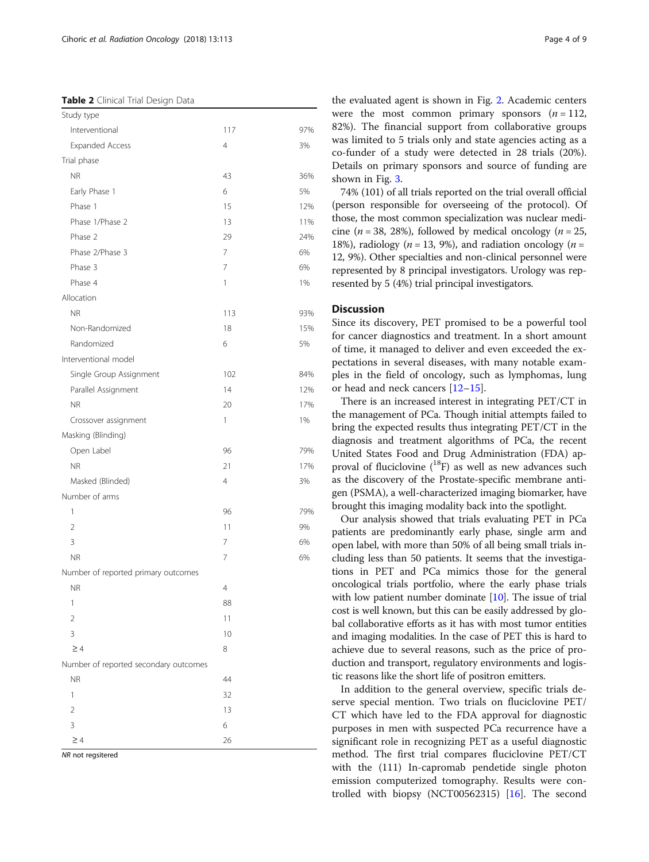<span id="page-3-0"></span>Table 2 Clinical Trial Design Data

| Study type                            |                |     |
|---------------------------------------|----------------|-----|
| Interventional                        | 117            | 97% |
| <b>Expanded Access</b>                | 4              | 3%  |
| Trial phase                           |                |     |
| <b>NR</b>                             | 43             | 36% |
| Early Phase 1                         | 6              | 5%  |
| Phase 1                               | 15             | 12% |
| Phase 1/Phase 2                       | 13             | 11% |
| Phase 2                               | 29             | 24% |
| Phase 2/Phase 3                       | 7              | 6%  |
| Phase 3                               | 7              | 6%  |
| Phase 4                               | 1              | 1%  |
| Allocation                            |                |     |
| <b>NR</b>                             | 113            | 93% |
| Non-Randomized                        | 18             | 15% |
| Randomized                            | 6              | 5%  |
| Interventional model                  |                |     |
| Single Group Assignment               | 102            | 84% |
| Parallel Assignment                   | 14             | 12% |
| <b>NR</b>                             | 20             | 17% |
| Crossover assignment                  | 1              | 1%  |
| Masking (Blinding)                    |                |     |
| Open Label                            | 96             | 79% |
| <b>NR</b>                             | 21             | 17% |
| Masked (Blinded)                      | $\overline{4}$ | 3%  |
| Number of arms                        |                |     |
| 1                                     | 96             | 79% |
| $\overline{2}$                        | 11             | 9%  |
| 3                                     | 7              | 6%  |
| <b>NR</b>                             | 7              | 6%  |
| Number of reported primary outcomes   |                |     |
| <b>NR</b>                             | $\overline{4}$ |     |
| 1                                     | 88             |     |
| $\overline{2}$                        | 11             |     |
| 3                                     | 10             |     |
| $\geq 4$                              | 8              |     |
| Number of reported secondary outcomes |                |     |
| <b>NR</b>                             | 44             |     |
| 1                                     | 32             |     |
| $\overline{2}$                        | 13             |     |
| 3                                     | 6              |     |
| $\geq$ 4                              | 26             |     |
| NR not regsitered                     |                |     |

the evaluated agent is shown in Fig. [2](#page-6-0). Academic centers were the most common primary sponsors  $(n = 112)$ , 82%). The financial support from collaborative groups was limited to 5 trials only and state agencies acting as a co-funder of a study were detected in 28 trials (20%). Details on primary sponsors and source of funding are shown in Fig. [3](#page-7-0).

74% (101) of all trials reported on the trial overall official (person responsible for overseeing of the protocol). Of those, the most common specialization was nuclear medicine ( $n = 38$ , 28%), followed by medical oncology ( $n = 25$ , 18%), radiology ( $n = 13, 9%$ ), and radiation oncology ( $n =$ 12, 9%). Other specialties and non-clinical personnel were represented by 8 principal investigators. Urology was represented by 5 (4%) trial principal investigators.

# **Discussion**

Since its discovery, PET promised to be a powerful tool for cancer diagnostics and treatment. In a short amount of time, it managed to deliver and even exceeded the expectations in several diseases, with many notable examples in the field of oncology, such as lymphomas, lung or head and neck cancers [\[12](#page-8-0)–[15](#page-8-0)].

There is an increased interest in integrating PET/CT in the management of PCa. Though initial attempts failed to bring the expected results thus integrating PET/CT in the diagnosis and treatment algorithms of PCa, the recent United States Food and Drug Administration (FDA) approval of fluciclovine  $(^{18}F)$  as well as new advances such as the discovery of the Prostate-specific membrane antigen (PSMA), a well-characterized imaging biomarker, have brought this imaging modality back into the spotlight.

Our analysis showed that trials evaluating PET in PCa patients are predominantly early phase, single arm and open label, with more than 50% of all being small trials including less than 50 patients. It seems that the investigations in PET and PCa mimics those for the general oncological trials portfolio, where the early phase trials with low patient number dominate [\[10\]](#page-8-0). The issue of trial cost is well known, but this can be easily addressed by global collaborative efforts as it has with most tumor entities and imaging modalities. In the case of PET this is hard to achieve due to several reasons, such as the price of production and transport, regulatory environments and logistic reasons like the short life of positron emitters.

In addition to the general overview, specific trials deserve special mention. Two trials on fluciclovine PET/ CT which have led to the FDA approval for diagnostic purposes in men with suspected PCa recurrence have a significant role in recognizing PET as a useful diagnostic method. The first trial compares fluciclovine PET/CT with the (111) In-capromab pendetide single photon emission computerized tomography. Results were controlled with biopsy (NCT00562315) [[16](#page-8-0)]. The second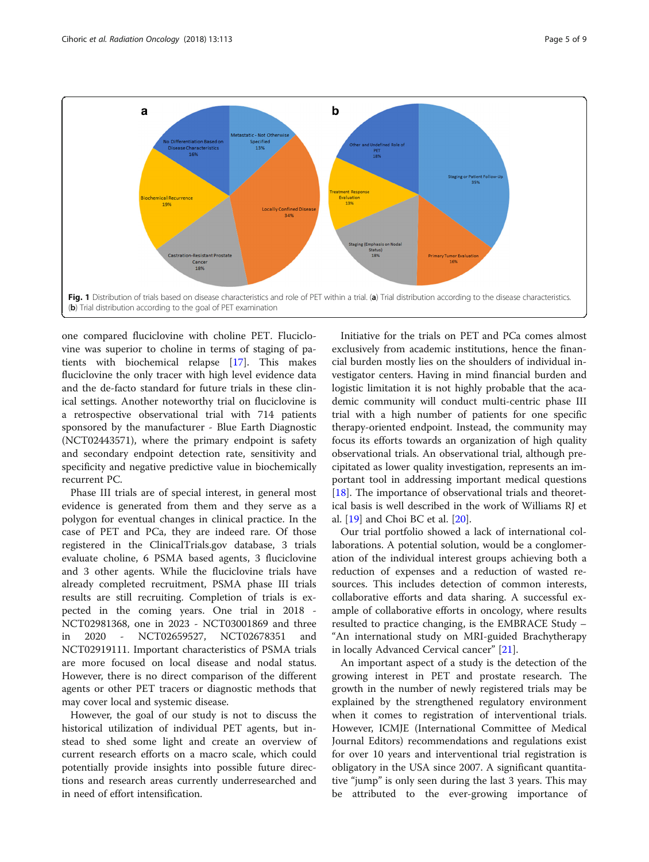<span id="page-4-0"></span>

one compared fluciclovine with choline PET. Fluciclovine was superior to choline in terms of staging of patients with biochemical relapse [[17](#page-8-0)]. This makes fluciclovine the only tracer with high level evidence data and the de-facto standard for future trials in these clinical settings. Another noteworthy trial on fluciclovine is a retrospective observational trial with 714 patients sponsored by the manufacturer - Blue Earth Diagnostic (NCT02443571), where the primary endpoint is safety and secondary endpoint detection rate, sensitivity and specificity and negative predictive value in biochemically recurrent PC.

Phase III trials are of special interest, in general most evidence is generated from them and they serve as a polygon for eventual changes in clinical practice. In the case of PET and PCa, they are indeed rare. Of those registered in the ClinicalTrials.gov database, 3 trials evaluate choline, 6 PSMA based agents, 3 fluciclovine and 3 other agents. While the fluciclovine trials have already completed recruitment, PSMA phase III trials results are still recruiting. Completion of trials is expected in the coming years. One trial in 2018 - NCT02981368, one in 2023 - NCT03001869 and three in 2020 - NCT02659527, NCT02678351 and NCT02919111. Important characteristics of PSMA trials are more focused on local disease and nodal status. However, there is no direct comparison of the different agents or other PET tracers or diagnostic methods that may cover local and systemic disease.

However, the goal of our study is not to discuss the historical utilization of individual PET agents, but instead to shed some light and create an overview of current research efforts on a macro scale, which could potentially provide insights into possible future directions and research areas currently underresearched and in need of effort intensification.

Initiative for the trials on PET and PCa comes almost exclusively from academic institutions, hence the financial burden mostly lies on the shoulders of individual investigator centers. Having in mind financial burden and logistic limitation it is not highly probable that the academic community will conduct multi-centric phase III trial with a high number of patients for one specific therapy-oriented endpoint. Instead, the community may focus its efforts towards an organization of high quality observational trials. An observational trial, although precipitated as lower quality investigation, represents an important tool in addressing important medical questions [[18\]](#page-8-0). The importance of observational trials and theoretical basis is well described in the work of Williams RJ et al. [[19\]](#page-8-0) and Choi BC et al. [[20\]](#page-8-0).

Our trial portfolio showed a lack of international collaborations. A potential solution, would be a conglomeration of the individual interest groups achieving both a reduction of expenses and a reduction of wasted resources. This includes detection of common interests, collaborative efforts and data sharing. A successful example of collaborative efforts in oncology, where results resulted to practice changing, is the EMBRACE Study – "An international study on MRI-guided Brachytherapy in locally Advanced Cervical cancer" [[21\]](#page-8-0).

An important aspect of a study is the detection of the growing interest in PET and prostate research. The growth in the number of newly registered trials may be explained by the strengthened regulatory environment when it comes to registration of interventional trials. However, ICMJE (International Committee of Medical Journal Editors) recommendations and regulations exist for over 10 years and interventional trial registration is obligatory in the USA since 2007. A significant quantitative "jump" is only seen during the last 3 years. This may be attributed to the ever-growing importance of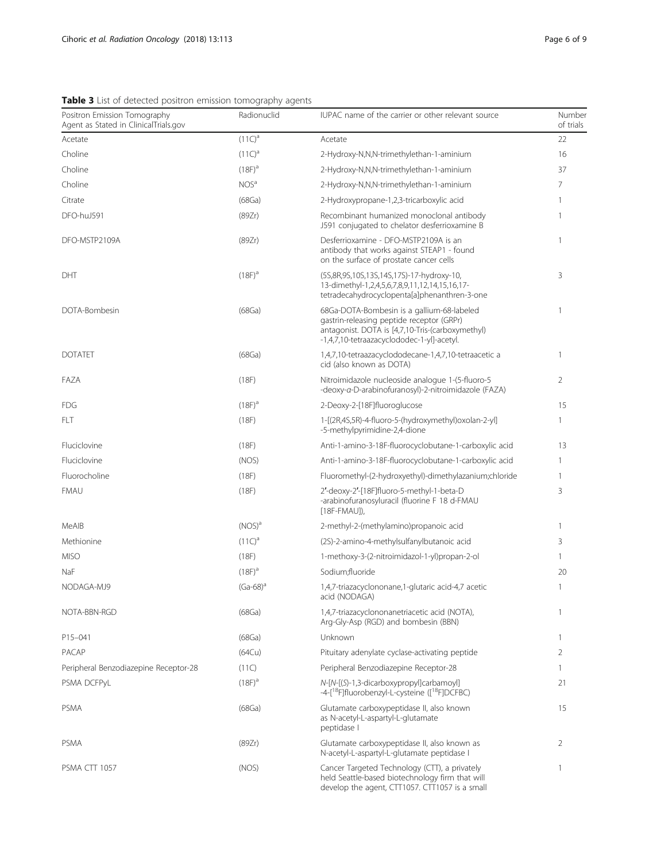<span id="page-5-0"></span>Table 3 List of detected positron emission tomography agents

| Positron Emission Tomography<br>Agent as Stated in ClinicalTrials.gov | Radionuclid      | IUPAC name of the carrier or other relevant source                                                                                                                                        | Number<br>of trials |
|-----------------------------------------------------------------------|------------------|-------------------------------------------------------------------------------------------------------------------------------------------------------------------------------------------|---------------------|
| Acetate                                                               | $(11C)^a$        | Acetate                                                                                                                                                                                   | 22                  |
| Choline                                                               | $(11C)^{a}$      | 2-Hydroxy-N,N,N-trimethylethan-1-aminium                                                                                                                                                  | 16                  |
| Choline                                                               | $(18F)^{a}$      | 2-Hydroxy-N,N,N-trimethylethan-1-aminium                                                                                                                                                  | 37                  |
| Choline                                                               | NOS <sup>a</sup> | 2-Hydroxy-N,N,N-trimethylethan-1-aminium                                                                                                                                                  | 7                   |
| Citrate                                                               | (68Ga)           | 2-Hydroxypropane-1,2,3-tricarboxylic acid                                                                                                                                                 | $\mathbf{1}$        |
| DFO-huJ591                                                            | (89Zr)           | Recombinant humanized monoclonal antibody<br>J591 conjugated to chelator desferrioxamine B                                                                                                | 1                   |
| DFO-MSTP2109A                                                         | (89Zr)           | Desferrioxamine - DFO-MSTP2109A is an<br>antibody that works against STEAP1 - found<br>on the surface of prostate cancer cells                                                            | $\mathbf{1}$        |
| DHT                                                                   | $(18F)^{a}$      | (5S,8R,9S,10S,13S,14S,17S)-17-hydroxy-10,<br>13-dimethyl-1,2,4,5,6,7,8,9,11,12,14,15,16,17-<br>tetradecahydrocyclopenta[a]phenanthren-3-one                                               | 3                   |
| DOTA-Bombesin                                                         | (68Ga)           | 68Ga-DOTA-Bombesin is a gallium-68-labeled<br>gastrin-releasing peptide receptor (GRPr)<br>antagonist. DOTA is [4,7,10-Tris-(carboxymethyl)<br>-1,4,7,10-tetraazacyclododec-1-yl]-acetyl. | $\mathbf{1}$        |
| <b>DOTATFT</b>                                                        | (68Ga)           | 1,4,7,10-tetraazacyclododecane-1,4,7,10-tetraacetic a<br>cid (also known as DOTA)                                                                                                         | $\mathbf{1}$        |
| FAZA                                                                  | (18F)            | Nitroimidazole nucleoside analogue 1-(5-fluoro-5<br>-deoxy-a-D-arabinofuranosyl)-2-nitroimidazole (FAZA)                                                                                  | $\overline{2}$      |
| <b>FDG</b>                                                            | $(18F)^{a}$      | 2-Deoxy-2-[18F]fluoroglucose                                                                                                                                                              | 15                  |
| FLT                                                                   | (18F)            | 1-[(2R,4S,5R)-4-fluoro-5-(hydroxymethyl)oxolan-2-yl]<br>-5-methylpyrimidine-2,4-dione                                                                                                     | 1                   |
| Fluciclovine                                                          | (18F)            | Anti-1-amino-3-18F-fluorocyclobutane-1-carboxylic acid                                                                                                                                    | 13                  |
| Fluciclovine                                                          | (NOS)            | Anti-1-amino-3-18F-fluorocyclobutane-1-carboxylic acid                                                                                                                                    | 1                   |
| Fluorocholine                                                         | (18F)            | Fluoromethyl-(2-hydroxyethyl)-dimethylazanium;chloride                                                                                                                                    | 1                   |
| <b>FMAU</b>                                                           | (18F)            | 2'-deoxy-2'-[18F]fluoro-5-methyl-1-beta-D<br>-arabinofuranosyluracil (fluorine F 18 d-FMAU<br>$[18F-FMAU]$ ,                                                                              | 3                   |
| MeAIB                                                                 | $(NOS)^a$        | 2-methyl-2-(methylamino)propanoic acid                                                                                                                                                    | 1                   |
| Methionine                                                            | $(11C)^a$        | (2S)-2-amino-4-methylsulfanylbutanoic acid                                                                                                                                                | 3                   |
| <b>MISO</b>                                                           | (18F)            | 1-methoxy-3-(2-nitroimidazol-1-yl)propan-2-ol                                                                                                                                             | $\mathbf{1}$        |
| NaF                                                                   | $(18F)^{a}$      | Sodium;fluoride                                                                                                                                                                           | 20                  |
| NODAGA-MJ9                                                            | $(Ga-68)^a$      | 1,4,7-triazacyclononane,1-glutaric acid-4,7 acetic<br>acid (NODAGA)                                                                                                                       | $\mathbf{1}$        |
| NOTA-BBN-RGD                                                          | (68Ga)           | 1,4,7-triazacyclononanetriacetic acid (NOTA),<br>Arg-Gly-Asp (RGD) and bombesin (BBN)                                                                                                     | $\mathbf{1}$        |
| P15-041                                                               | (68Ga)           | Unknown                                                                                                                                                                                   | 1                   |
| PACAP                                                                 | (64Cu)           | Pituitary adenylate cyclase-activating peptide                                                                                                                                            | 2                   |
| Peripheral Benzodiazepine Receptor-28                                 | (11C)            | Peripheral Benzodiazepine Receptor-28                                                                                                                                                     | $\mathbf{1}$        |
| PSMA DCFPyL                                                           | $(18F)^{a}$      | N-[N-[(S)-1,3-dicarboxypropyl]carbamoyl]<br>-4-[ <sup>18</sup> F]fluorobenzyl-L-cysteine ([ <sup>18</sup> F]DCFBC)                                                                        | 21                  |
| <b>PSMA</b>                                                           | (68Ga)           | Glutamate carboxypeptidase II, also known<br>as N-acetyl-L-aspartyl-L-glutamate<br>peptidase                                                                                              | 15                  |
| <b>PSMA</b>                                                           | (89Zr)           | Glutamate carboxypeptidase II, also known as<br>N-acetyl-L-aspartyl-L-glutamate peptidase I                                                                                               | 2                   |
| <b>PSMA CTT 1057</b>                                                  | (NOS)            | Cancer Targeted Technology (CTT), a privately<br>held Seattle-based biotechnology firm that will<br>develop the agent, CTT1057. CTT1057 is a small                                        | $\mathbf{1}$        |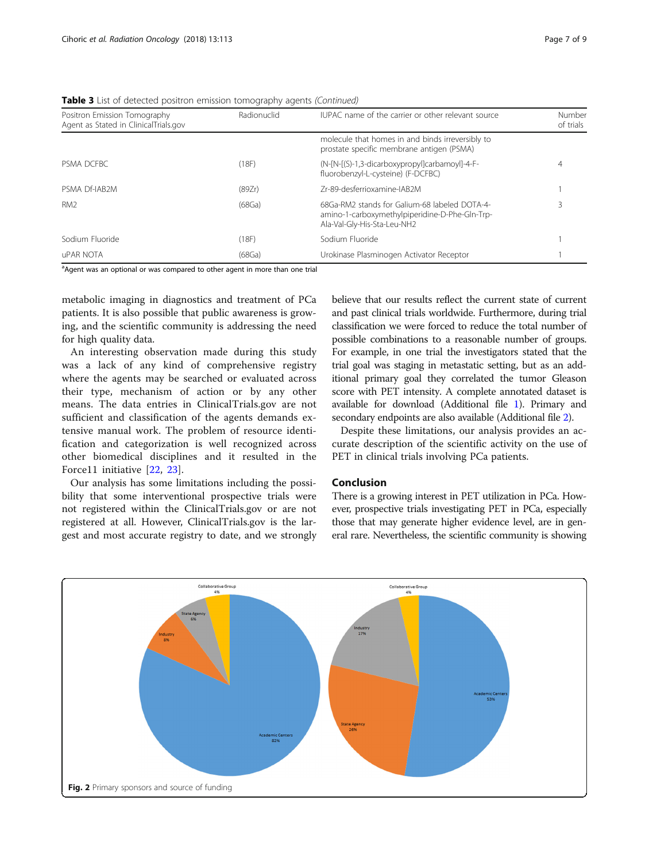| Positron Emission Tomography          | Radionuclid | IUPAC name of the carrier or other relevant source                                                                             | Number<br>of trials |
|---------------------------------------|-------------|--------------------------------------------------------------------------------------------------------------------------------|---------------------|
| Agent as Stated in ClinicalTrials.gov |             | molecule that homes in and binds irreversibly to<br>prostate specific membrane antigen (PSMA)                                  |                     |
| PSMA DCFBC                            | (18F)       | (N-[N-[(S)-1,3-dicarboxypropyl]carbamoyl]-4-F-<br>fluorobenzyl-L-cysteine) (F-DCFBC)                                           |                     |
| PSMA Df-IAB2M                         | (89Zr)      | 7r-89-desferrioxamine-IAB2M                                                                                                    |                     |
| RM <sub>2</sub>                       | (68Ga)      | 68Ga-RM2 stands for Galium-68 labeled DOTA-4-<br>amino-1-carboxymethylpiperidine-D-Phe-Gln-Trp-<br>Ala-Val-Gly-His-Sta-Leu-NH2 |                     |
| Sodium Fluoride                       | (18F)       | Sodium Fluoride                                                                                                                |                     |
| <b>UPAR NOTA</b>                      | (68Ga)      | Urokinase Plasminogen Activator Receptor                                                                                       |                     |

<span id="page-6-0"></span>**Table 3** List of detected positron emission tomography agents *(Continued)* 

<sup>a</sup>Agent was an optional or was compared to other agent in more than one trial

metabolic imaging in diagnostics and treatment of PCa patients. It is also possible that public awareness is growing, and the scientific community is addressing the need for high quality data.

An interesting observation made during this study was a lack of any kind of comprehensive registry where the agents may be searched or evaluated across their type, mechanism of action or by any other means. The data entries in ClinicalTrials.gov are not sufficient and classification of the agents demands extensive manual work. The problem of resource identification and categorization is well recognized across other biomedical disciplines and it resulted in the Force11 initiative [[22](#page-8-0), [23](#page-8-0)].

Our analysis has some limitations including the possibility that some interventional prospective trials were not registered within the ClinicalTrials.gov or are not registered at all. However, ClinicalTrials.gov is the largest and most accurate registry to date, and we strongly

believe that our results reflect the current state of current and past clinical trials worldwide. Furthermore, during trial classification we were forced to reduce the total number of possible combinations to a reasonable number of groups. For example, in one trial the investigators stated that the trial goal was staging in metastatic setting, but as an additional primary goal they correlated the tumor Gleason score with PET intensity. A complete annotated dataset is available for download (Additional file [1](#page-7-0)). Primary and secondary endpoints are also available (Additional file [2\)](#page-7-0).

Despite these limitations, our analysis provides an accurate description of the scientific activity on the use of PET in clinical trials involving PCa patients.

# Conclusion

There is a growing interest in PET utilization in PCa. However, prospective trials investigating PET in PCa, especially those that may generate higher evidence level, are in general rare. Nevertheless, the scientific community is showing

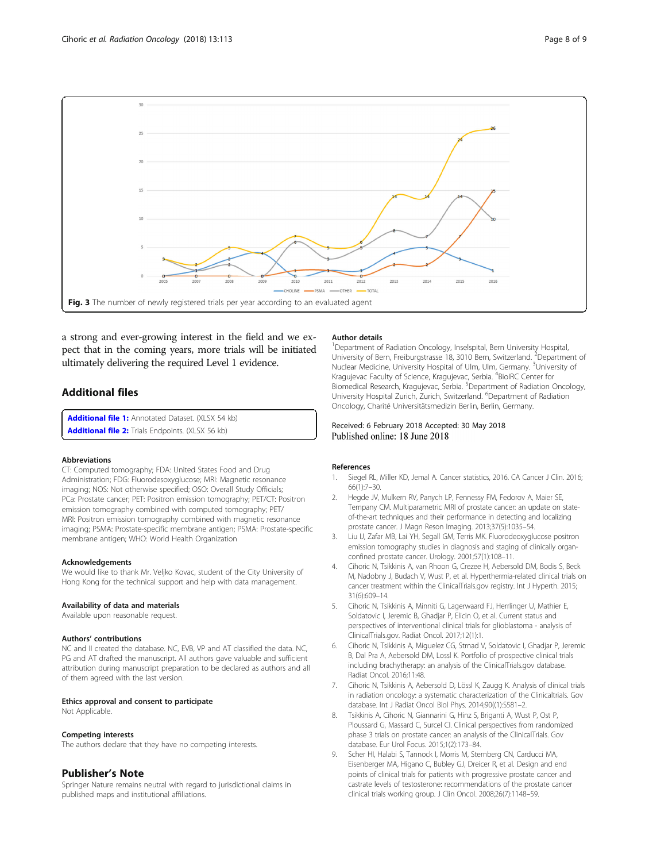<span id="page-7-0"></span>

a strong and ever-growing interest in the field and we expect that in the coming years, more trials will be initiated ultimately delivering the required Level 1 evidence.

# Additional files

[Additional file 1:](https://doi.org/10.1186/s13014-018-1057-3) Annotated Dataset. (XLSX 54 kb) [Additional file 2:](https://doi.org/10.1186/s13014-018-1057-3) Trials Endpoints. (XLSX 56 kb)

#### Abbreviations

CT: Computed tomography; FDA: United States Food and Drug Administration; FDG: Fluorodesoxyglucose; MRI: Magnetic resonance imaging; NOS: Not otherwise specified; OSO: Overall Study Officials; PCa: Prostate cancer; PET: Positron emission tomography; PET/CT: Positron emission tomography combined with computed tomography; PET/ MRI: Positron emission tomography combined with magnetic resonance imaging; PSMA: Prostate-specific membrane antigen; PSMA: Prostate-specific membrane antigen; WHO: World Health Organization

#### Acknowledgements

We would like to thank Mr. Veljko Kovac, student of the City University of Hong Kong for the technical support and help with data management.

#### Availability of data and materials

Available upon reasonable request.

## Authors' contributions

NC and II created the database. NC, EVB, VP and AT classified the data. NC, PG and AT drafted the manuscript. All authors gave valuable and sufficient attribution during manuscript preparation to be declared as authors and all of them agreed with the last version.

# Ethics approval and consent to participate

Not Applicable.

#### Competing interests

The authors declare that they have no competing interests.

## Publisher's Note

Springer Nature remains neutral with regard to jurisdictional claims in published maps and institutional affiliations.

#### Author details

<sup>1</sup>Department of Radiation Oncology, Inselspital, Bern University Hospital, University of Bern, Freiburgstrasse 18, 3010 Bern, Switzerland. <sup>2</sup>Department of Nuclear Medicine, University Hospital of Ulm, Ulm, Germany. <sup>3</sup>University of Kragujevac Faculty of Science, Kragujevac, Serbia. <sup>4</sup>BioIRC Center for Biomedical Research, Kragujevac, Serbia. <sup>5</sup>Department of Radiation Oncology University Hospital Zurich, Zurich, Switzerland. <sup>6</sup>Department of Radiation Oncology, Charité Universitätsmedizin Berlin, Berlin, Germany.

# Received: 6 February 2018 Accepted: 30 May 2018 Published online: 18 June 2018

## References

- 1. Siegel RL, Miller KD, Jemal A. Cancer statistics, 2016. CA Cancer J Clin. 2016; 66(1):7–30.
- 2. Hegde JV, Mulkern RV, Panych LP, Fennessy FM, Fedorov A, Maier SE, Tempany CM. Multiparametric MRI of prostate cancer: an update on stateof-the-art techniques and their performance in detecting and localizing prostate cancer. J Magn Reson Imaging. 2013;37(5):1035–54.
- 3. Liu IJ, Zafar MB, Lai YH, Segall GM, Terris MK. Fluorodeoxyglucose positron emission tomography studies in diagnosis and staging of clinically organconfined prostate cancer. Urology. 2001;57(1):108–11.
- 4. Cihoric N, Tsikkinis A, van Rhoon G, Crezee H, Aebersold DM, Bodis S, Beck M, Nadobny J, Budach V, Wust P, et al. Hyperthermia-related clinical trials on cancer treatment within the ClinicalTrials.gov registry. Int J Hyperth. 2015; 31(6):609–14.
- 5. Cihoric N, Tsikkinis A, Minniti G, Lagerwaard FJ, Herrlinger U, Mathier E, Soldatovic I, Jeremic B, Ghadjar P, Elicin O, et al. Current status and perspectives of interventional clinical trials for glioblastoma - analysis of ClinicalTrials.gov. Radiat Oncol. 2017;12(1):1.
- 6. Cihoric N, Tsikkinis A, Miguelez CG, Strnad V, Soldatovic I, Ghadjar P, Jeremic B, Dal Pra A, Aebersold DM, Lossl K. Portfolio of prospective clinical trials including brachytherapy: an analysis of the ClinicalTrials.gov database. Radiat Oncol. 2016;11:48.
- 7. Cihoric N, Tsikkinis A, Aebersold D, Lössl K, Zaugg K. Analysis of clinical trials in radiation oncology: a systematic characterization of the Clinicaltrials. Gov database. Int J Radiat Oncol Biol Phys. 2014;90((1):S581–2.
- 8. Tsikkinis A, Cihoric N, Giannarini G, Hinz S, Briganti A, Wust P, Ost P, Ploussard G, Massard C, Surcel CI. Clinical perspectives from randomized phase 3 trials on prostate cancer: an analysis of the ClinicalTrials. Gov database. Eur Urol Focus. 2015;1(2):173–84.
- 9. Scher HI, Halabi S, Tannock I, Morris M, Sternberg CN, Carducci MA, Eisenberger MA, Higano C, Bubley GJ, Dreicer R, et al. Design and end points of clinical trials for patients with progressive prostate cancer and castrate levels of testosterone: recommendations of the prostate cancer clinical trials working group. J Clin Oncol. 2008;26(7):1148–59.